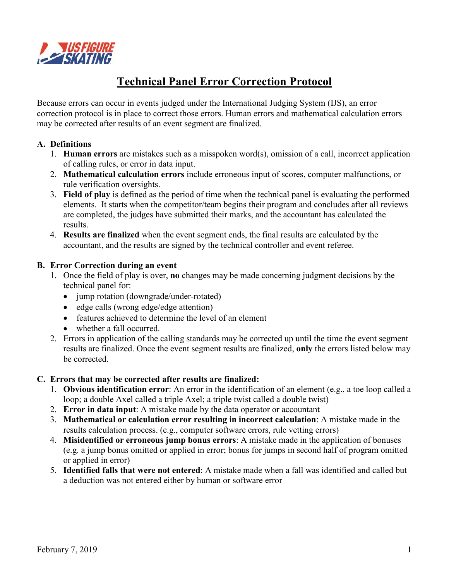

# **Technical Panel Error Correction Protocol**

Because errors can occur in events judged under the International Judging System (IJS), an error correction protocol is in place to correct those errors. Human errors and mathematical calculation errors may be corrected after results of an event segment are finalized.

## **A. Definitions**

- 1. **Human errors** are mistakes such as a misspoken word(s), omission of a call, incorrect application of calling rules, or error in data input.
- 2. **Mathematical calculation errors** include erroneous input of scores, computer malfunctions, or rule verification oversights.
- 3. **Field of play** is defined as the period of time when the technical panel is evaluating the performed elements. It starts when the competitor/team begins their program and concludes after all reviews are completed, the judges have submitted their marks, and the accountant has calculated the results.
- 4. **Results are finalized** when the event segment ends, the final results are calculated by the accountant, and the results are signed by the technical controller and event referee.

#### **B. Error Correction during an event**

- 1. Once the field of play is over, **no** changes may be made concerning judgment decisions by the technical panel for:
	- jump rotation (downgrade/under-rotated)
	- edge calls (wrong edge/edge attention)
	- features achieved to determine the level of an element
	- whether a fall occurred.
- 2. Errors in application of the calling standards may be corrected up until the time the event segment results are finalized. Once the event segment results are finalized, **only** the errors listed below may be corrected.

#### **C. Errors that may be corrected after results are finalized:**

- 1. **Obvious identification error**: An error in the identification of an element (e.g., a toe loop called a loop; a double Axel called a triple Axel; a triple twist called a double twist)
- 2. **Error in data input**: A mistake made by the data operator or accountant
- 3. **Mathematical or calculation error resulting in incorrect calculation**: A mistake made in the results calculation process. (e.g., computer software errors, rule vetting errors)
- 4. **Misidentified or erroneous jump bonus errors**: A mistake made in the application of bonuses (e.g. a jump bonus omitted or applied in error; bonus for jumps in second half of program omitted or applied in error)
- 5. **Identified falls that were not entered**: A mistake made when a fall was identified and called but a deduction was not entered either by human or software error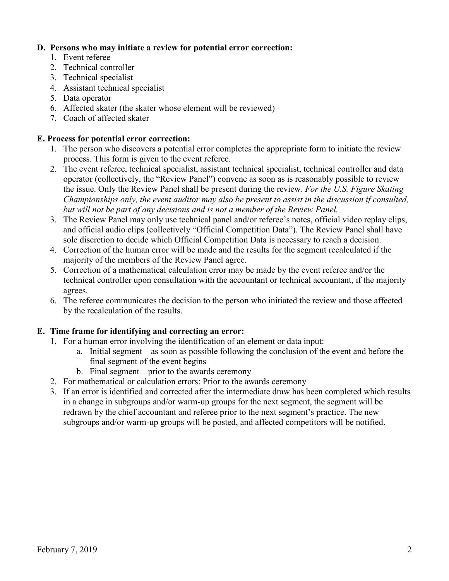## **D. Persons who may initiate a review for potential error correction:**

- 1. Event referee
- 2. Technical controller
- 3. Technical specialist
- 4. Assistant technical specialist
- 5. Data operator
- 6. Affected skater (the skater whose element will be reviewed)
- 7. Coach of affected skater

#### **E. Process for potential error correction:**

- 1. The person who discovers a potential error completes the appropriate form to initiate the review process. This form is given to the event referee.
- 2. The event referee, technical specialist, assistant technical specialist, technical controller and data operator (collectively, the "Review Panel") convene as soon as is reasonably possible to review the issue. Only the Review Panel shall be present during the review. *For the U.S. Figure Skating Championships only, the event auditor may also be present to assist in the discussion if consulted, but will not be part of any decisions and is not a member of the Review Panel.*
- 3. The Review Panel may only use technical panel and/or referee's notes, official video replay clips, and official audio clips (collectively "Official Competition Data"). The Review Panel shall have sole discretion to decide which Official Competition Data is necessary to reach a decision.
- 4. Correction of the human error will be made and the results for the segment recalculated if the majority of the members of the Review Panel agree.
- 5. Correction of a mathematical calculation error may be made by the event referee and/or the technical controller upon consultation with the accountant or technical accountant, if the majority agrees.
- 6. The referee communicates the decision to the person who initiated the review and those affected by the recalculation of the results.

# **E. Time frame for identifying and correcting an error:**

- 1. For a human error involving the identification of an element or data input:
	- a. Initial segment as soon as possible following the conclusion of the event and before the final segment of the event begins
	- b. Final segment prior to the awards ceremony
- 2. For mathematical or calculation errors: Prior to the awards ceremony
- 3. If an error is identified and corrected after the intermediate draw has been completed which results in a change in subgroups and/or warm-up groups for the next segment, the segment will be redrawn by the chief accountant and referee prior to the next segment's practice. The new subgroups and/or warm-up groups will be posted, and affected competitors will be notified.